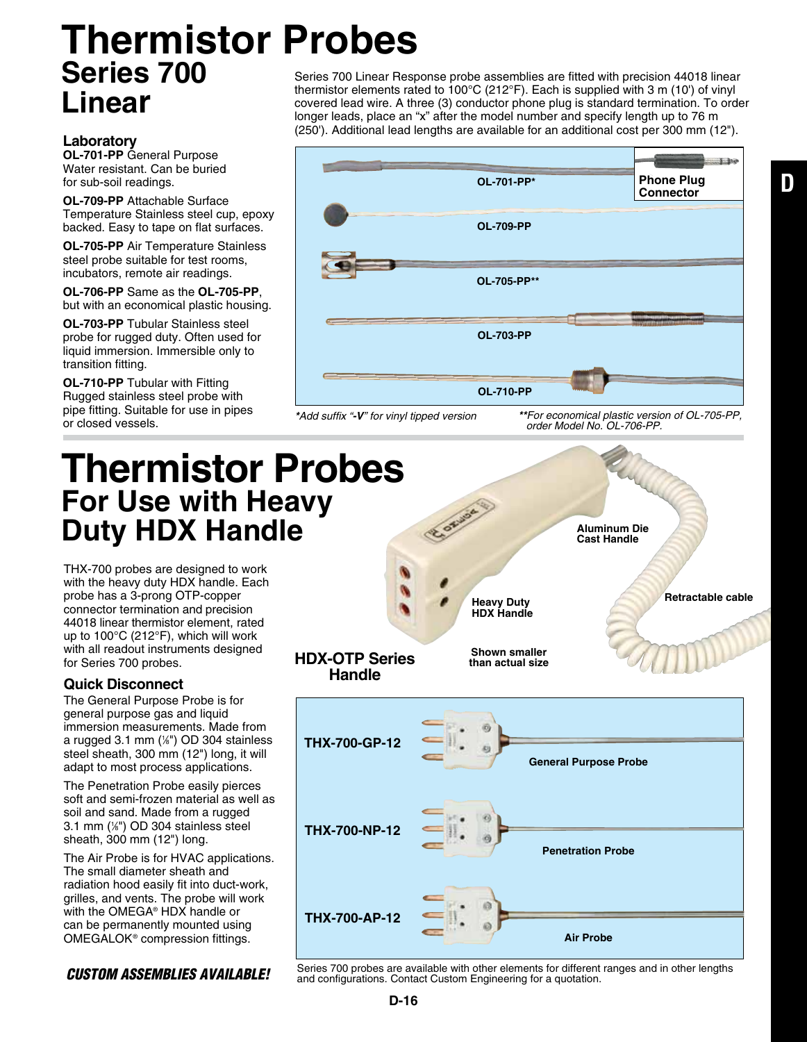## **Thermistor Probes Series 700 Linear**

#### **Laboratory**

**OL-701-PP** General Purpose Water resistant. Can be buried for sub-soil readings.

**OL-709-PP** Attachable Surface Temperature Stainless steel cup, epoxy backed. Easy to tape on flat surfaces.

**OL-705-PP** Air Temperature Stainless steel probe suitable for test rooms, incubators, remote air readings.

**OL-706-PP** Same as the **OL-705-PP**, but with an economical plastic housing.

**OL-703-PP** Tubular Stainless steel probe for rugged duty. Often used for liquid immersion. Immersible only to transition fitting.

**OL-710-PP** Tubular with Fitting Rugged stainless steel probe with pipe fitting. Suitable for use in pipes or closed vessels.

Series 700 Linear Response probe assemblies are fitted with precision 44018 linear thermistor elements rated to 100°C (212°F). Each is supplied with 3 m (10') of vinyl covered lead wire. A three (3) conductor phone plug is standard termination. To order longer leads, place an "x" after the model number and specify length up to 76 m (250'). Additional lead lengths are available for an additional cost per 300 mm (12").



*\*Add suffix "-V" for vinyl tipped version*

*\*\*For economical plastic version of OL-705-PP, order Model No. OL-706-PP.*

### **Thermistor Probes For Use with Heavy Duty HDX Handle**

THX-700 probes are designed to work with the heavy duty HDX handle. Each probe has a 3-prong OTP-copper connector termination and precision 44018 linear thermistor element, rated up to 100°C (212°F), which will work with all readout instruments designed for Series 700 probes.

#### **Quick Disconnect**

The General Purpose Probe is for general purpose gas and liquid immersion measurements. Made from a rugged 3.1 mm (1 ⁄8") OD 304 stainless steel sheath, 300 mm (12") long, it will adapt to most process applications.

The Penetration Probe easily pierces soft and semi-frozen material as well as soil and sand. Made from a rugged 3.1 mm (1 ⁄8") OD 304 stainless steel sheath, 300 mm (12") long.

The Air Probe is for HVAC applications. The small diameter sheath and radiation hood easily fit into duct-work, grilles, and vents. The probe will work with the OMEGA® HDX handle or can be permanently mounted using OMEGALOK® compression fittings.



**CUSTOM ASSEMBLIES AVAILABLE!** Series 700 probes are available with other elements for different ranges and in other lengths and configurations. Contact Custom Engineering for a quotation.

**D**